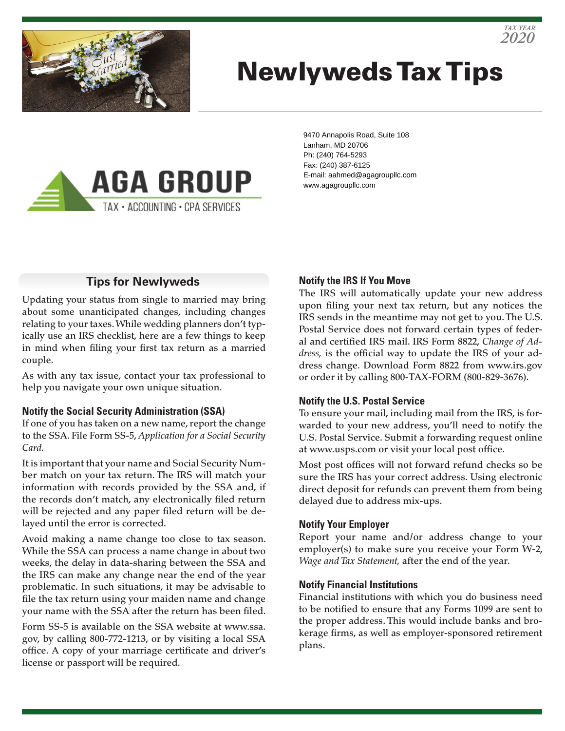

# Newlyweds Tax Tips



9470 Annapolis Road, Suite 108 Lanham, MD 20706 Ph: (240) 764-5293 Fax: (240) 387-6125 E-mail: aahmed@agagroupllc.com www.agagroupllc.com

#### **Tips for Newlyweds**

Updating your status from single to married may bring about some unanticipated changes, including changes relating to your taxes. While wedding planners don't typically use an IRS checklist, here are a few things to keep in mind when filing your first tax return as a married couple.

As with any tax issue, contact your tax professional to help you navigate your own unique situation.

#### **Notify the Social Security Administration (SSA)**

If one of you has taken on a new name, report the change to the SSA. File Form SS-5, *Application for a Social Security Card.*

It is important that your name and Social Security Number match on your tax return. The IRS will match your information with records provided by the SSA and, if the records don't match, any electronically filed return will be rejected and any paper filed return will be delayed until the error is corrected.

Avoid making a name change too close to tax season. While the SSA can process a name change in about two weeks, the delay in data-sharing between the SSA and the IRS can make any change near the end of the year problematic. In such situations, it may be advisable to file the tax return using your maiden name and change your name with the SSA after the return has been filed.

Form SS-5 is available on the SSA website at www.ssa. gov, by calling 800-772-1213, or by visiting a local SSA office. A copy of your marriage certificate and driver's license or passport will be required.

#### **Notify the IRS If You Move**

The IRS will automatically update your new address upon filing your next tax return, but any notices the IRS sends in the meantime may not get to you. The U.S. Postal Service does not forward certain types of federal and certified IRS mail. IRS Form 8822, *Change of Address,* is the official way to update the IRS of your address change. Download Form 8822 from www.irs.gov or order it by calling 800-TAX-FORM (800-829-3676).

#### **Notify the U.S. Postal Service**

To ensure your mail, including mail from the IRS, is forwarded to your new address, you'll need to notify the U.S. Postal Service. Submit a forwarding request online at www.usps.com or visit your local post office.

Most post offices will not forward refund checks so be sure the IRS has your correct address. Using electronic direct deposit for refunds can prevent them from being delayed due to address mix-ups.

#### **Notify Your Employer**

Report your name and/or address change to your employer(s) to make sure you receive your Form W-2, *Wage and Tax Statement,* after the end of the year.

#### **Notify Financial Institutions**

Financial institutions with which you do business need to be notified to ensure that any Forms 1099 are sent to the proper address. This would include banks and brokerage firms, as well as employer-sponsored retirement plans.